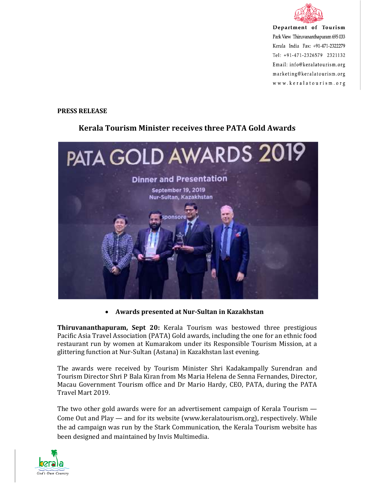

Department of Tourism Park View Thiruvananthapuram 695 033 Kerala India Fax: +91-471-2322279 Tel: +91-471-2326579 2321132 Email: info@keralatourism.org marketing@keralatourism.org www.keralatourism.org

## **PRESS RELEASE**

## **Kerala Tourism Minister receives three PATA Gold Awards**



## • **Awards presented at Nur-Sultan in Kazakhstan**

**Thiruvananthapuram, Sept 20:** Kerala Tourism was bestowed three prestigious Pacific Asia Travel Association (PATA) Gold awards, including the one for an ethnic food restaurant run by women at Kumarakom under its Responsible Tourism Mission, at a glittering function at Nur-Sultan (Astana) in Kazakhstan last evening.

The awards were received by Tourism Minister Shri Kadakampally Surendran and Tourism Director Shri P Bala Kiran from Ms Maria Helena de Senna Fernandes, Director, Macau Government Tourism office and Dr Mario Hardy, CEO, PATA, during the PATA Travel Mart 2019.

The two other gold awards were for an advertisement campaign of Kerala Tourism — Come Out and Play — and for its website (www.keralatourism.org), respectively. While the ad campaign was run by the Stark Communication, the Kerala Tourism website has been designed and maintained by Invis Multimedia.

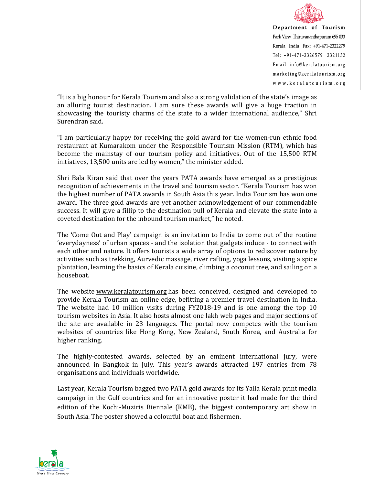

Department of Tourism Park View Thiruvananthapuram 695 033 Kerala India Fax: +91-471-2322279 Tel: +91-471-2326579 2321132 Email: info@keralatourism.org marketing@keralatourism.org www.keralatourism.org

"It is a big honour for Kerala Tourism and also a strong validation of the state's image as an alluring tourist destination. I am sure these awards will give a huge traction in showcasing the touristy charms of the state to a wider international audience," Shri Surendran said.

"I am particularly happy for receiving the gold award for the women-run ethnic food restaurant at Kumarakom under the Responsible Tourism Mission (RTM), which has become the mainstay of our tourism policy and initiatives. Out of the 15,500 RTM initiatives, 13,500 units are led by women," the minister added.

Shri Bala Kiran said that over the years PATA awards have emerged as a prestigious recognition of achievements in the travel and tourism sector. "Kerala Tourism has won the highest number of PATA awards in South Asia this year. India Tourism has won one award. The three gold awards are yet another acknowledgement of our commendable success. It will give a fillip to the destination pull of Kerala and elevate the state into a coveted destination for the inbound tourism market," he noted.

The 'Come Out and Play' campaign is an invitation to India to come out of the routine 'everydayness' of urban spaces - and the isolation that gadgets induce - to connect with each other and nature. It offers tourists a wide array of options to rediscover nature by activities such as trekking, Aurvedic massage, river rafting, yoga lessons, visiting a spice plantation, learning the basics of Kerala cuisine, climbing a coconut tree, and sailing on a houseboat.

The website www.keralatourism.org has been conceived, designed and developed to provide Kerala Tourism an online edge, befitting a premier travel destination in India. The website had 10 million visits during FY2018-19 and is one among the top 10 tourism websites in Asia. It also hosts almost one lakh web pages and major sections of the site are available in 23 languages. The portal now competes with the tourism websites of countries like Hong Kong, New Zealand, South Korea, and Australia for higher ranking.

The highly-contested awards, selected by an eminent international jury, were announced in Bangkok in July. This year's awards attracted 197 entries from 78 organisations and individuals worldwide.

Last year, Kerala Tourism bagged two PATA gold awards for its Yalla Kerala print media campaign in the Gulf countries and for an innovative poster it had made for the third edition of the Kochi-Muziris Biennale (KMB), the biggest contemporary art show in South Asia. The poster showed a colourful boat and fishermen.